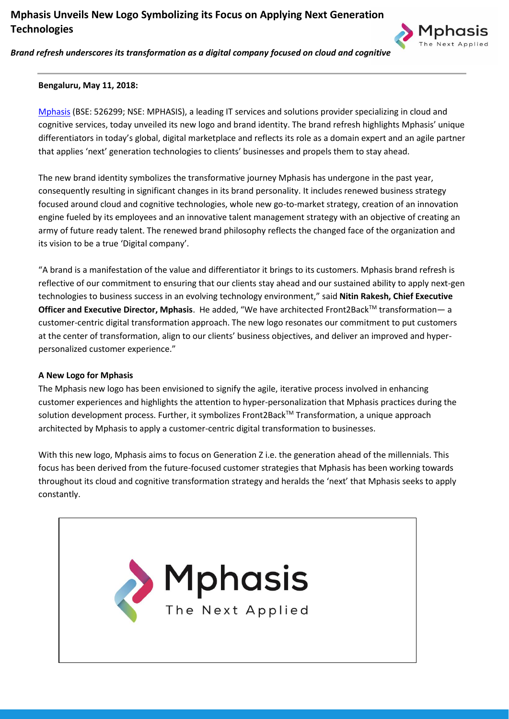# **Mphasis Unveils New Logo Symbolizing its Focus on Applying Next Generation Technologies**



*Brand refresh underscores its transformation as a digital company focused on cloud and cognitive*

## **Bengaluru, May 11, 2018:**

[Mphasis](http://www.mphasis.com/index.html) (BSE: 526299; NSE: MPHASIS), a leading IT services and solutions provider specializing in cloud and cognitive services, today unveiled its new logo and brand identity. The brand refresh highlights Mphasis' unique differentiators in today's global, digital marketplace and reflects its role as a domain expert and an agile partner that applies 'next' generation technologies to clients' businesses and propels them to stay ahead.

The new brand identity symbolizes the transformative journey Mphasis has undergone in the past year, consequently resulting in significant changes in its brand personality. It includes renewed business strategy focused around cloud and cognitive technologies, whole new go-to-market strategy, creation of an innovation engine fueled by its employees and an innovative talent management strategy with an objective of creating an army of future ready talent. The renewed brand philosophy reflects the changed face of the organization and its vision to be a true 'Digital company'.

"A brand is a manifestation of the value and differentiator it brings to its customers. Mphasis brand refresh is reflective of our commitment to ensuring that our clients stay ahead and our sustained ability to apply next-gen technologies to business success in an evolving technology environment," said **Nitin Rakesh, Chief Executive Officer and Executive Director, Mphasis**. He added, "We have architected Front2Back™ transformation— a customer-centric digital transformation approach. The new logo resonates our commitment to put customers at the center of transformation, align to our clients' business objectives, and deliver an improved and hyperpersonalized customer experience."

## **A New Logo for Mphasis**

The Mphasis new logo has been envisioned to signify the agile, iterative process involved in enhancing customer experiences and highlights the attention to hyper-personalization that Mphasis practices during the solution development process. Further, it symbolizes Front2Back™ Transformation, a unique approach architected by Mphasis to apply a customer-centric digital transformation to businesses.

With this new logo, Mphasis aims to focus on Generation Z i.e. the generation ahead of the millennials. This focus has been derived from the future-focused customer strategies that Mphasis has been working towards throughout its cloud and cognitive transformation strategy and heralds the 'next' that Mphasis seeks to apply constantly.